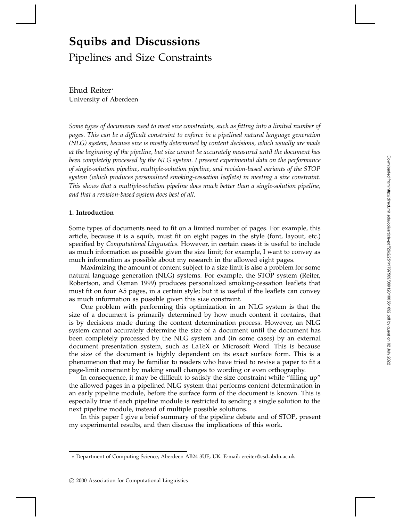# **Squibs and Discussions** Pipelines and Size Constraints

Ehud Reiter University of Aberdeen

*Some types of documents need to meet size constraints, such as fitting into a limited number of pages. This can be a difficult constraint to enforce in a pipelined natural language generation (NLG) system, because size is mostly determined by content decisions, which usually are made at the beginning of the pipeline, but size cannot be accurately measured until the document has been completely processed by the NLG system. I present experimental data on the performance of single-solution pipeline, multiple-solution pipeline, and revision-based variants of the STOP system (which produces personalized smoking-cessation leaflets) in meeting a size constraint. This shows that a multiple-solution pipeline does much better than a single-solution pipeline, and that a revision-based system does best of all.*

# **1. Introduction**

Some types of documents need to fit on a limited number of pages. For example, this article, because it is a squib, must fit on eight pages in the style (font, layout, etc.) specified by *Computational Linguistics*. However, in certain cases it is useful to include as much information as possible given the size limit; for example, I want to convey as much information as possible about my research in the allowed eight pages.

Maximizing the amount of content subject to a size limit is also a problem for some natural language generation (NLG) systems. For example, the STOP system (Reiter, Robertson, and Osman 1999) produces personalized smoking-cessation leaflets that must fit on four A5 pages, in a certain style; but it is useful if the leaflets can convey as much information as possible given this size constraint.

One problem with performing this optimization in an NLG system is that the size of a document is primarily determined by how much content it contains, that is by decisions made during the content determination process. However, an NLG system cannot accurately determine the size of a document until the document has been completely processed by the NLG system and (in some cases) by an external document presentation system, such as LaTeX or Microsoft Word. This is because the size of the document is highly dependent on its exact surface form. This is a phenomenon that may be familiar to readers who have tried to revise a paper to fit a page-limit constraint by making small changes to wording or even orthography.

In consequence, it may be difficult to satisfy the size constraint while "filling up" the allowed pages in a pipelined NLG system that performs content determination in an early pipeline module, before the surface form of the document is known. This is especially true if each pipeline module is restricted to sending a single solution to the next pipeline module, instead of multiple possible solutions.

In this paper I give a brief summary of the pipeline debate and of STOP, present my experimental results, and then discuss the implications of this work.

Department of Computing Science, Aberdeen AB24 3UE, UK. E-mail: ereiter@csd.abdn.ac.uk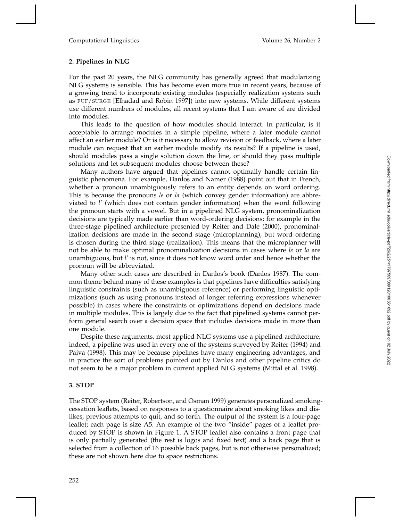# **2. Pipelines in NLG**

For the past 20 years, the NLG community has generally agreed that modularizing NLG systems is sensible. This has become even more true in recent years, because of a growing trend to incorporate existing modules (especially realization systems such as fuf/surge [Elhadad and Robin 1997]) into new systems. While different systems use different numbers of modules, all recent systems that I am aware of are divided into modules.

This leads to the question of how modules should interact. In particular, is it acceptable to arrange modules in a simple pipeline, where a later module cannot affect an earlier module? Or is it necessary to allow revision or feedback, where a later module can request that an earlier module modify its results? If a pipeline is used, should modules pass a single solution down the line, or should they pass multiple solutions and let subsequent modules choose between these?

Many authors have argued that pipelines cannot optimally handle certain linguistic phenomena. For example, Danlos and Namer (1988) point out that in French, whether a pronoun unambiguously refers to an entity depends on word ordering. This is because the pronouns *le* or *la* (which convey gender information) are abbreviated to *l'* (which does not contain gender information) when the word following the pronoun starts with a vowel. But in a pipelined NLG system, pronominalization decisions are typically made earlier than word-ordering decisions; for example in the three-stage pipelined architecture presented by Reiter and Dale (2000), pronominalization decisions are made in the second stage (microplanning), but word ordering is chosen during the third stage (realization). This means that the microplanner will not be able to make optimal pronominalization decisions in cases where *le* or *la* are unambiguous, but *l'* is not, since it does not know word order and hence whether the pronoun will be abbreviated.

Many other such cases are described in Danlos's book (Danlos 1987). The common theme behind many of these examples is that pipelines have difficulties satisfying linguistic constraints (such as unambiguous reference) or performing linguistic optimizations (such as using pronouns instead of longer referring expressions whenever possible) in cases where the constraints or optimizations depend on decisions made in multiple modules. This is largely due to the fact that pipelined systems cannot perform general search over a decision space that includes decisions made in more than one module.

Despite these arguments, most applied NLG systems use a pipelined architecture; indeed, a pipeline was used in every one of the systems surveyed by Reiter (1994) and Paiva (1998). This may be because pipelines have many engineering advantages, and in practice the sort of problems pointed out by Danlos and other pipeline critics do not seem to be a major problem in current applied NLG systems (Mittal et al. 1998).

# **3. STOP**

The STOP system (Reiter, Robertson, and Osman 1999) generates personalized smokingcessation leaflets, based on responses to a questionnaire about smoking likes and dislikes, previous attempts to quit, and so forth. The output of the system is a four-page leaflet; each page is size A5. An example of the two "inside" pages of a leaflet produced by STOP is shown in Figure 1. A STOP leaflet also contains a front page that is only partially generated (the rest is logos and fixed text) and a back page that is selected from a collection of 16 possible back pages, but is not otherwise personalized; these are not shown here due to space restrictions.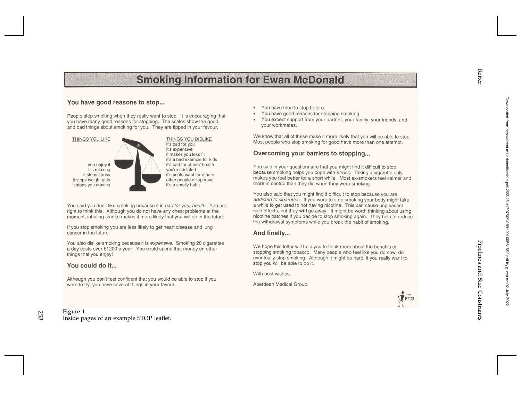

253

- 
- 
- 

Downloaded from http://direct.mit.edu/coli/article-pdf/26/2/251/1797509/099120100561692.pdf by guest on Downloaded from http://direct.mit.edu/coli/article-pdf/26/2/251/1797509/089120100561692.pdf by guest on 02 July 2022

02 July 2022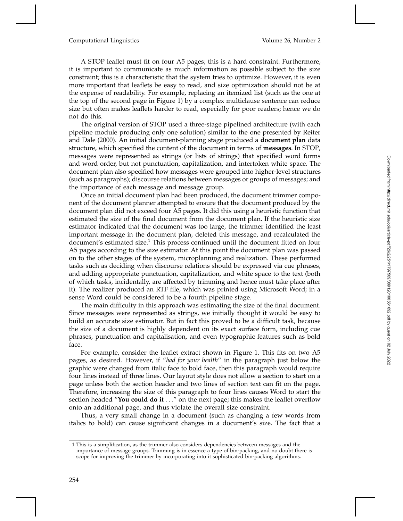A STOP leaflet must fit on four A5 pages; this is a hard constraint. Furthermore, it is important to communicate as much information as possible subject to the size constraint; this is a characteristic that the system tries to optimize. However, it is even more important that leaflets be easy to read, and size optimization should not be at the expense of readability. For example, replacing an itemized list (such as the one at the top of the second page in Figure 1) by a complex multiclause sentence can reduce size but often makes leaflets harder to read, especially for poor readers; hence we do not do this.

The original version of STOP used a three-stage pipelined architecture (with each pipeline module producing only one solution) similar to the one presented by Reiter and Dale (2000). An initial document-planning stage produced a **document plan** data structure, which specified the content of the document in terms of **messages**. In STOP, messages were represented as strings (or lists of strings) that specified word forms and word order, but not punctuation, capitalization, and intertoken white space. The document plan also specified how messages were grouped into higher-level structures (such as paragraphs); discourse relations between messages or groups of messages; and the importance of each message and message group.

Once an initial document plan had been produced, the document trimmer component of the document planner attempted to ensure that the document produced by the document plan did not exceed four A5 pages. It did this using a heuristic function that estimated the size of the final document from the document plan. If the heuristic size estimator indicated that the document was too large, the trimmer identified the least important message in the document plan, deleted this message, and recalculated the document's estimated size. <sup>1</sup> This process continued until the document fitted on four A5 pages according to the size estimator. At this point the document plan was passed on to the other stages of the system, microplanning and realization. These performed tasks such as deciding when discourse relations should be expressed via cue phrases, and adding appropriate punctuation, capitalization, and white space to the text (both of which tasks, incidentally, are affected by trimming and hence must take place after it). The realizer produced an RTF file, which was printed using Microsoft Word; in a sense Word could be considered to be a fourth pipeline stage.

The main difficulty in this approach was estimating the size of the final document. Since messages were represented as strings, we initially thought it would be easy to build an accurate size estimator. But in fact this proved to be a difficult task, because the size of a document is highly dependent on its exact surface form, including cue phrases, punctuation and capitalisation, and even typographic features such as bold face.

For example, consider the leaflet extract shown in Figure 1. This fits on two A5 pages, as desired. However, if "*bad for your health*" in the paragraph just below the graphic were changed from italic face to bold face, then this paragraph would require four lines instead of three lines. Our layout style does not allow a section to start on a page unless both the section header and two lines of section text can fit on the page. Therefore, increasing the size of this paragraph to four lines causes Word to start the section headed "**You could do it** ::::" on the next page; this makes the leaflet overflow onto an additional page, and thus violate the overall size constraint.

Thus, a very small change in a document (such as changing a few words from italics to bold) can cause significant changes in a document's size. The fact that a

<sup>1</sup> This is a simplification, as the trimmer also considers dependencies between messages and the importance of message groups. Trimming is in essence a type of bin-packing, and no doubt there is scope for improving the trimmer by incorporating into it sophisticated bin-packing algorithms.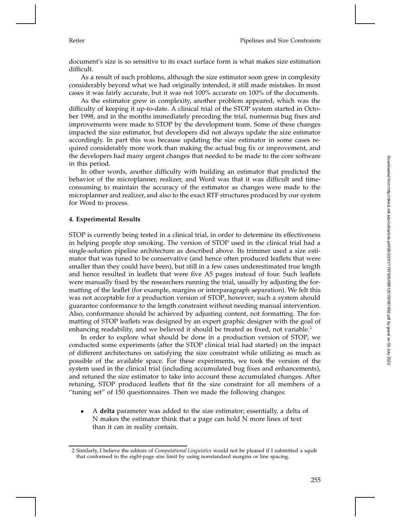document's size is so sensitive to its exact surface form is what makes size estimation difficult.

As a result of such problems, although the size estimator soon grew in complexity considerably beyond what we had originally intended, it still made mistakes. In most cases it was fairly accurate, but it was not 100% accurate on 100% of the documents.

As the estimator grew in complexity, another problem appeared, which was the difficulty of keeping it up-to-date. A clinical trial of the STOP system started in October 1998, and in the months immediately preceding the trial, numerous bug fixes and improvements were made to STOP by the development team. Some of these changes impacted the size estimator, but developers did not always update the size estimator accordingly. In part this was because updating the size estimator in some cases required considerably more work than making the actual bug fix or improvement, and the developers had many urgent changes that needed to be made to the core software in this period.

In other words, another difficulty with building an estimator that predicted the behavior of the microplanner, realizer, and Word was that it was difficult and timeconsuming to maintain the accuracy of the estimator as changes were made to the microplanner and realizer, and also to the exact RTF structures produced by our system for Word to process.

## **4. Experimental Results**

STOP is currently being tested in a clinical trial, in order to determine its effectiveness in helping people stop smoking. The version of STOP used in the clinical trial had a single-solution pipeline architecture as described above. Its trimmer used a size estimator that was tuned to be conservative (and hence often produced leaflets that were smaller than they could have been), but still in a few cases underestimated true length and hence resulted in leaflets that were five A5 pages instead of four. Such leaflets were manually fixed by the researchers running the trial, usually by adjusting the formatting of the leaflet (for example, margins or interparagraph separation). We felt this was not acceptable for a production version of STOP, however; such a system should guarantee conformance to the length constraint without needing manual intervention. Also, conformance should be achieved by adjusting content, not formatting. The formatting of STOP leaflets was designed by an expert graphic designer with the goal of enhancing readability, and we believed it should be treated as fixed, not variable. 2

In order to explore what should be done in a production version of STOP, we conducted some experiments (after the STOP clinical trial had started) on the impact of different architectures on satisfying the size constraint while utilizing as much as possible of the available space. For these experiments, we took the version of the system used in the clinical trial (including accumulated bug fixes and enhancements), and retuned the size estimator to take into account these accumulated changes. After retuning, STOP produced leaflets that fit the size constraint for all members of a "tuning set" of 150 questionnaires. Then we made the following changes:

 A **delta** parameter was added to the size estimator; essentially, a delta of N makes the estimator think that a page can hold N more lines of text than it can in reality contain.

<sup>2</sup> Similarly, I believe the editors of *Computational Linguistics* would not be pleased if I submitted a squib that conformed to the eight-page size limit by using nonstandard margins or line spacing.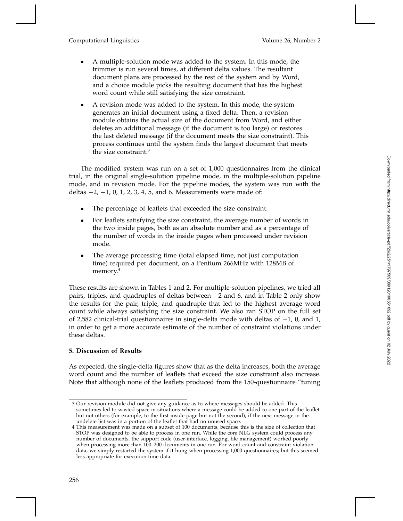Computational Linguistics Volume 26, Number 2

- A multiple-solution mode was added to the system. In this mode, the trimmer is run several times, at different delta values. The resultant document plans are processed by the rest of the system and by Word, and a choice module picks the resulting document that has the highest word count while still satisfying the size constraint.
- A revision mode was added to the system. In this mode, the system generates an initial document using a fixed delta. Then, a revision module obtains the actual size of the document from Word, and either deletes an additional message (if the document is too large) or restores the last deleted message (if the document meets the size constraint). This process continues until the system finds the largest document that meets the size constraint. 3

The modified system was run on a set of 1,000 questionnaires from the clinical trial, in the original single-solution pipeline mode, in the multiple-solution pipeline mode, and in revision mode. For the pipeline modes, the system was run with the deltas 2, 1, 0, 1, 2, 3, 4, 5, and 6. Measurements were made of:

- The percentage of leaflets that exceeded the size constraint.
- For leaflets satisfying the size constraint, the average number of words in the two inside pages, both as an absolute number and as a percentage of the number of words in the inside pages when processed under revision mode.
- The average processing time (total elapsed time, not just computation time) required per document, on a Pentium 266MHz with 128MB of memory. 4

These results are shown in Tables 1 and 2. For multiple-solution pipelines, we tried all pairs, triples, and quadruples of deltas between 2 and 6, and in Table 2 only show the results for the pair, triple, and quadruple that led to the highest average word count while always satisfying the size constraint. We also ran STOP on the full set of 2,582 clinical-trial questionnaires in single-delta mode with deltas of 1, 0, and 1, in order to get a more accurate estimate of the number of constraint violations under these deltas.

# **5. Discussion of Results**

As expected, the single-delta figures show that as the delta increases, both the average word count and the number of leaflets that exceed the size constraint also increase. Note that although none of the leaflets produced from the 150-questionnaire "tuning

<sup>3</sup> Our revision module did not give any guidance as to where messages should be added. This sometimes led to wasted space in situations where a message could be added to one part of the leaflet but not others (for example, to the first inside page but not the second), if the next message in the undelete list was in a portion of the leaflet that had no unused space.

<sup>4</sup> This measurement was made on a subset of 100 documents, because this is the size of collection that STOP was designed to be able to process in one run. While the core NLG system could process any number of documents, the support code (user-interface, logging, file management) worked poorly when processing more than 100–200 documents in one run. For word count and constraint violation data, we simply restarted the system if it hung when processing 1,000 questionnaires; but this seemed less appropriate for execution time data.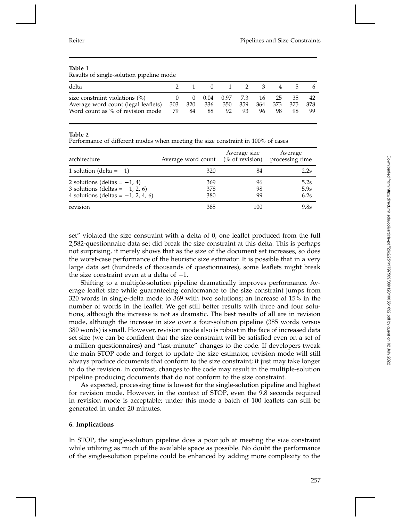# **Table 1**

Results of single-solution pipeline mode

| delta                                                                                                                    |         | $-2$ $-1$ 0 1 2 3 4 5         |                             |    |     |    | -6    |
|--------------------------------------------------------------------------------------------------------------------------|---------|-------------------------------|-----------------------------|----|-----|----|-------|
| size constraint violations $(\%)$<br>Average word count (legal leaflets)<br>Word count as % of revision mode 79 84 88 92 | 303 320 | 0 0 0.04 0.97 7.3 16 25 35 42 | 336 350 359 364 373 375 378 | 93 | 96. | 98 | 98 99 |

### **Table 2**

Performance of different modes when meeting the size constraint in 100% of cases

| architecture                                                                                                   | Average word count | Average size<br>$\frac{1}{2}$ of revision) | Average<br>processing time |
|----------------------------------------------------------------------------------------------------------------|--------------------|--------------------------------------------|----------------------------|
| 1 solution (delta $= -1$ )                                                                                     | 320                | 84                                         | 2.2s                       |
| 2 solutions (deltas $= -1, 4$ )<br>3 solutions (deltas $= -1, 2, 6$ )<br>4 solutions (deltas = $-1$ , 2, 4, 6) | 369<br>378<br>380  | 96<br>98<br>99                             | 5.2s<br>5.9s<br>6.2s       |
| revision                                                                                                       | 385                | 100                                        | 9.8 <sub>s</sub>           |

set" violated the size constraint with a delta of 0, one leaflet produced from the full 2,582-questionnaire data set did break the size constraint at this delta. This is perhaps not surprising, it merely shows that as the size of the document set increases, so does the worst-case performance of the heuristic size estimator. It is possible that in a very large data set (hundreds of thousands of questionnaires), some leaflets might break the size constraint even at a delta of  $-1$ .

Shifting to a multiple-solution pipeline dramatically improves performance. Average leaflet size while guaranteeing conformance to the size constraint jumps from 320 words in single-delta mode to 369 with two solutions; an increase of 15% in the number of words in the leaflet. We get still better results with three and four solutions, although the increase is not as dramatic. The best results of all are in revision mode, although the increase in size over a four-solution pipeline (385 words versus 380 words) is small. However, revision mode also is robust in the face of increased data set size (we can be confident that the size constraint will be satisfied even on a set of a million questionnaires) and "last-minute" changes to the code. If developers tweak the main STOP code and forget to update the size estimator, revision mode will still always produce documents that conform to the size constraint; it just may take longer to do the revision. In contrast, changes to the code may result in the multiple-solution pipeline producing documents that do not conform to the size constraint.

As expected, processing time is lowest for the single-solution pipeline and highest for revision mode. However, in the context of STOP, even the 9.8 seconds required in revision mode is acceptable; under this mode a batch of 100 leaflets can still be generated in under 20 minutes.

# **6. Implications**

In STOP, the single-solution pipeline does a poor job at meeting the size constraint while utilizing as much of the available space as possible. No doubt the performance of the single-solution pipeline could be enhanced by adding more complexity to the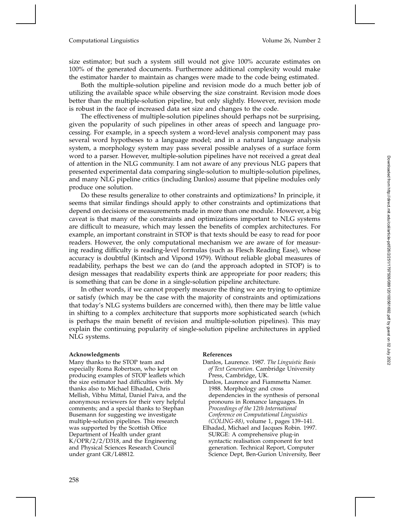size estimator; but such a system still would not give 100% accurate estimates on 100% of the generated documents. Furthermore additional complexity would make the estimator harder to maintain as changes were made to the code being estimated.

Both the multiple-solution pipeline and revision mode do a much better job of utilizing the available space while observing the size constraint. Revision mode does better than the multiple-solution pipeline, but only slightly. However, revision mode is robust in the face of increased data set size and changes to the code.

The effectiveness of multiple-solution pipelines should perhaps not be surprising, given the popularity of such pipelines in other areas of speech and language processing. For example, in a speech system a word-level analysis component may pass several word hypotheses to a language model; and in a natural language analysis system, a morphology system may pass several possible analyses of a surface form word to a parser. However, multiple-solution pipelines have not received a great deal of attention in the NLG community. I am not aware of any previous NLG papers that presented experimental data comparing single-solution to multiple-solution pipelines, and many NLG pipeline critics (including Danlos) assume that pipeline modules only produce one solution.

Do these results generalize to other constraints and optimizations? In principle, it seems that similar findings should apply to other constraints and optimizations that depend on decisions or measurements made in more than one module. However, a big caveat is that many of the constraints and optimizations important to NLG systems are difficult to measure, which may lessen the benefits of complex architectures. For example, an important constraint in STOP is that texts should be easy to read for poor readers. However, the only computational mechanism we are aware of for measuring reading difficulty is reading-level formulas (such as Flesch Reading Ease), whose accuracy is doubtful (Kintsch and Vipond 1979). Without reliable global measures of readability, perhaps the best we can do (and the approach adopted in STOP) is to design messages that readability experts think are appropriate for poor readers; this is something that can be done in a single-solution pipeline architecture.

In other words, if we cannot properly measure the thing we are trying to optimize or satisfy (which may be the case with the majority of constraints and optimizations that today's NLG systems builders are concerned with), then there may be little value in shifting to a complex architecture that supports more sophisticated search (which is perhaps the main benefit of revision and multiple-solution pipelines). This may explain the continuing popularity of single-solution pipeline architectures in applied NLG systems.

# **Acknowledgments**

Many thanks to the STOP team and especially Roma Robertson, who kept on producing examples of STOP leaflets which the size estimator had difficulties with. My thanks also to Michael Elhadad, Chris Mellish, Vibhu Mittal, Daniel Paiva, and the anonymous reviewers for their very helpful comments; and a special thanks to Stephan Busemann for suggesting we investigate multiple-solution pipelines. This research was supported by the Scottish Office Department of Health under grant K/OPR/2/2/D318, and the Engineering and Physical Sciences Research Council under grant GR/L48812.

# **References**

- Danlos, Laurence. 1987. *The Linguistic Basis of Text Generation*. Cambridge University Press, Cambridge, UK.
- Danlos, Laurence and Fiammetta Namer. 1988. Morphology and cross dependencies in the synthesis of personal pronouns in Romance languages. In *Proceedings of the 12th International Conference on Computational Linguistics (COLING-88)*, volume 1, pages 139–141.
- Elhadad, Michael and Jacques Robin. 1997. SURGE: A comprehensive plug-in syntactic realisation component for text generation. Technical Report, Computer Science Dept, Ben-Gurion University, Beer